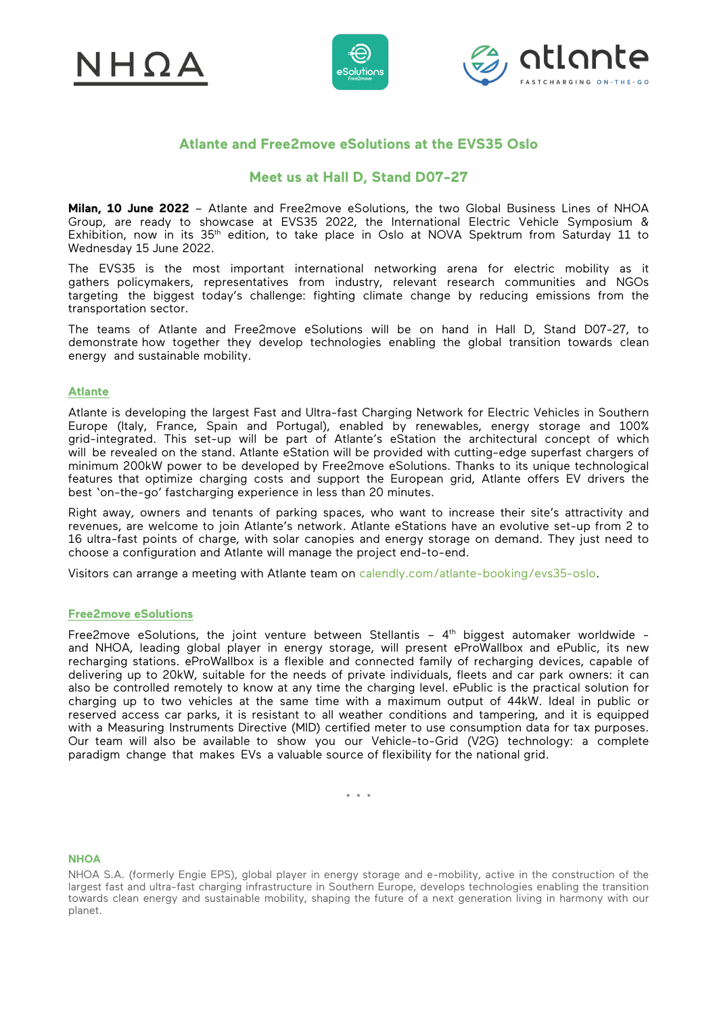





# **Atlante and Free2move eSolutions at the EVS35 Oslo**

## **Meet us at Hall D, Stand D07-27**

**Milan, 10 June 2022** – Atlante and Free2move eSolutions, the two Global Business Lines of NHOA Group, are ready to showcase at EVS35 2022, the International Electric Vehicle Symposium & Exhibition, now in its 35<sup>th</sup> edition, to take place in Oslo at NOVA Spektrum from Saturday 11 to Wednesday 15 June 2022.

The EVS35 is the most important international networking arena for electric mobility as it gathers policymakers, representatives from industry, relevant research communities and NGOs targeting the biggest today's challenge: fighting climate change by reducing emissions from the transportation sector.

The teams of Atlante and Free2move eSolutions will be on hand in Hall D, Stand D07-27, to demonstrate how together they develop technologies enabling the global transition towards clean energy and sustainable mobility.

#### **Atlante**

Atlante is developing the largest Fast and Ultra-fast Charging Network for Electric Vehicles in Southern Europe (Italy, France, Spain and Portugal), enabled by renewables, energy storage and 100% grid-integrated. This set-up will be part of Atlante's eStation the architectural concept of which will be revealed on the stand. Atlante eStation will be provided with cutting-edge superfast chargers of minimum 200kW power to be developed by Free2move eSolutions. Thanks to its unique technological features that optimize charging costs and support the European grid, Atlante offers EV drivers the best 'on-the-go' fastcharging experience in less than 20 minutes.

Right away, owners and tenants of parking spaces, who want to increase their site's attractivity and revenues, are welcome to join Atlante's network. Atlante eStations have an evolutive set-up from 2 to 16 ultra-fast points of charge, with solar canopies and energy storage on demand. They just need to choose a configuration and Atlante will manage the project end-to-end.

Visitors can arrange a meeting with Atlante team on [calendly.com/atlante-booking/evs35-oslo.](https://calendly.com/atlante-booking/evs35-oslo) 

### **Free2move eSolutions**

Free2move eSolutions, the joint venture between Stellantis - 4<sup>th</sup> biggest automaker worldwide and NHOA, leading global player in energy storage, will present eProWallbox and ePublic, its new recharging stations. eProWallbox is a flexible and connected family of recharging devices, capable of delivering up to 20kW, suitable for the needs of private individuals, fleets and car park owners: it can also be controlled remotely to know at any time the charging level. ePublic is the practical solution for charging up to two vehicles at the same time with a maximum output of 44kW. Ideal in public or reserved access car parks, it is resistant to all weather conditions and tampering, and it is equipped with a Measuring Instruments Directive (MID) certified meter to use consumption data for tax purposes. Our team will also be available to show you our Vehicle-to-Grid (V2G) technology: a complete paradigm change that makes EVs a valuable source of flexibility for the national grid.

\* \* \*

#### **NHOA**

NHOA S.A. (formerly Engie EPS), global player in energy storage and e-mobility, active in the construction of the largest fast and ultra-fast charging infrastructure in Southern Europe, develops technologies enabling the transition towards clean energy and sustainable mobility, shaping the future of a next generation living in harmony with our planet.